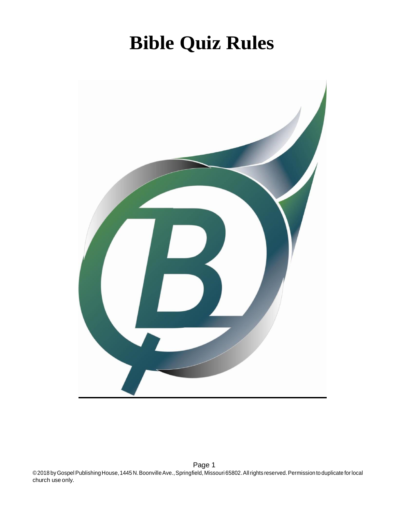# **Bible Quiz Rules**

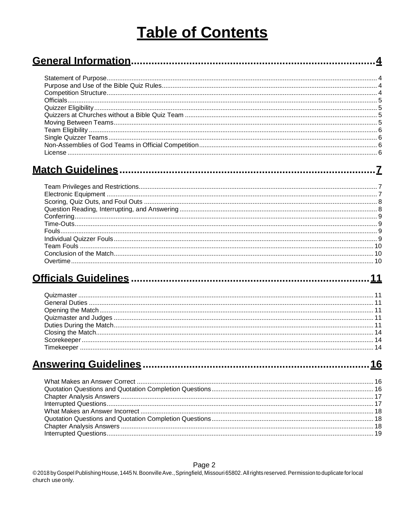# **Table of Contents**

| l icense. |  |
|-----------|--|

### 

. . 7

## 

## 

### Page 2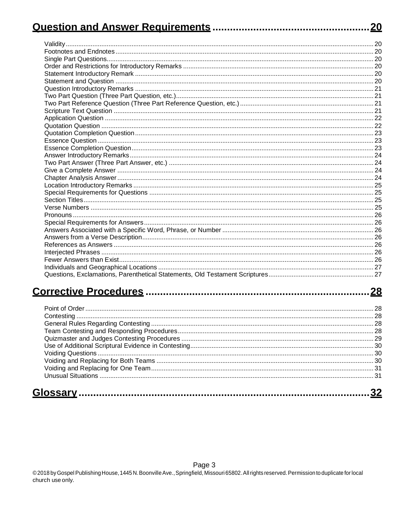|                              | <u>20</u> |
|------------------------------|-----------|
|                              |           |
|                              |           |
|                              |           |
|                              |           |
|                              |           |
|                              |           |
|                              |           |
|                              |           |
|                              |           |
|                              |           |
|                              |           |
|                              |           |
|                              |           |
|                              |           |
|                              |           |
|                              |           |
|                              |           |
|                              |           |
|                              |           |
|                              |           |
|                              |           |
|                              |           |
|                              |           |
|                              |           |
|                              |           |
|                              |           |
|                              |           |
|                              |           |
|                              |           |
|                              |           |
|                              |           |
|                              |           |
|                              |           |
|                              |           |
| <b>Corrective Procedures</b> | <u>28</u> |
| Point of Order.              | 28        |
|                              |           |
|                              |           |
|                              |           |
|                              |           |
|                              |           |
|                              |           |
|                              |           |
|                              |           |
|                              |           |
|                              |           |
|                              |           |
|                              |           |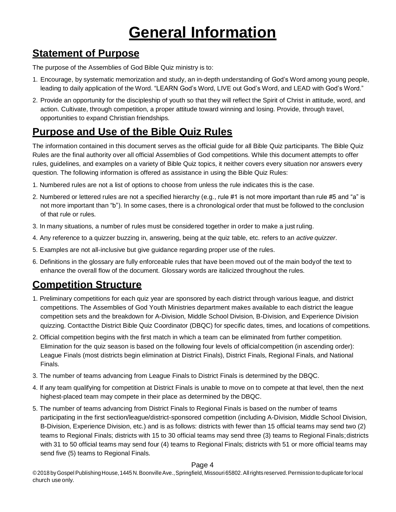# **General Information**

## <span id="page-3-1"></span><span id="page-3-0"></span>**Statement of Purpose**

The purpose of the Assemblies of God Bible Quiz ministry is to:

- 1. Encourage, by systematic memorization and study, an in-depth understanding of God's Word among young people, leading to daily application of the Word. "LEARN God's Word, LIVE out God's Word, and LEAD with God's Word."
- 2. Provide an opportunity for the discipleship of youth so that they will reflect the Spirit of Christ in attitude, word, and action. Cultivate, through competition, a proper attitude toward winning and losing. Provide, through travel, opportunities to expand Christian friendships.

# <span id="page-3-2"></span>**Purpose and Use of the Bible Quiz Rules**

The information contained in this document serves as the official guide for all Bible Quiz participants. The Bible Quiz Rules are the final authority over all official Assemblies of God competitions. While this document attempts to offer rules, guidelines, and examples on a variety of Bible Quiz topics, it neither covers every situation nor answers every question. The following information is offered as assistance in using the Bible Quiz Rules:

- 1. Numbered rules are not a list of options to choose from unless the rule indicates this is the case.
- 2. Numbered or lettered rules are not a specified hierarchy (e.g., rule #1 is not more important than rule #5 and "a" is not more important than "b"). In some cases, there is a chronological order that must be followed to the conclusion of that rule or rules.
- 3. In many situations, a number of rules must be considered together in order to make a just ruling.
- 4. Any reference to a quizzer buzzing in, answering, being at the quiz table, etc. refers to an *activequizzer*.
- 5. Examples are not all-inclusive but give guidance regarding proper use of the rules.
- 6. Definitions in the glossary are fully enforceable rules that have been moved out of the main bodyof the text to enhance the overall flow of the document. Glossary words are italicized throughout the rules.

# <span id="page-3-3"></span>**Competition Structure**

- 1. Preliminary competitions for each quiz year are sponsored by each district through various league, and district competitions. The Assemblies of God Youth Ministries department makes available to each district the league competition sets and the breakdown for A-Division, Middle School Division, B-Division, and Experience Division quizzing. Contactthe District Bible Quiz Coordinator (DBQC) for specific dates, times, and locations of competitions.
- 2. Official competition begins with the first match in which a team can be eliminated from further competition. Elimination for the quiz season is based on the following four levels of officialcompetition (in ascending order): League Finals (most districts begin elimination at District Finals), District Finals, Regional Finals, and National Finals.
- 3. The number of teams advancing from League Finals to District Finals is determined by the DBQC.
- 4. If any team qualifying for competition at District Finals is unable to move on to compete at that level, then the next highest-placed team may compete in their place as determined by the DBQC.
- 5. The number of teams advancing from District Finals to Regional Finals is based on the number of teams participating in the first section/league/district-sponsored competition (including A-Division, Middle School Division, B-Division, Experience Division, etc.) and is as follows: districts with fewer than 15 official teams may send two (2) teams to Regional Finals; districts with 15 to 30 official teams may send three (3) teams to Regional Finals;districts with 31 to 50 official teams may send four (4) teams to Regional Finals; districts with 51 or more official teams may send five (5) teams to Regional Finals.

### Page 4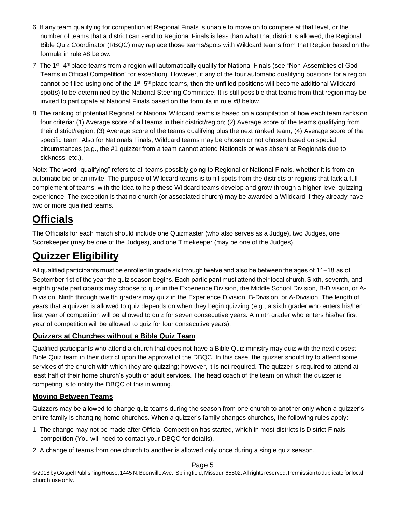- 6. If any team qualifying for competition at Regional Finals is unable to move on to compete at that level, or the number of teams that a district can send to Regional Finals is less than what that district is allowed, the Regional Bible Quiz Coordinator (RBQC) may replace those teams/spots with Wildcard teams from that Region based on the formula in rule #8 below.
- 7. The 1<sup>st</sup>–4<sup>th</sup> place teams from a region will automatically qualify for National Finals (see "Non-Assemblies of God Teams in Official Competition" for exception). However, if any of the four automatic qualifying positions for a region cannot be filled using one of the 1<sup>st</sup>–5<sup>th</sup> place teams, then the unfilled positions will become additional Wildcard spot(s) to be determined by the National Steering Committee. It is still possible that teams from that region may be invited to participate at National Finals based on the formula in rule #8 below.
- 8. The ranking of potential Regional or National Wildcard teams is based on a compilation of how each team rankson four criteria: (1) Average score of all teams in their district/region; (2) Average score of the teams qualifying from their district/region; (3) Average score of the teams qualifying plus the next ranked team; (4) Average score of the specific team. Also for Nationals Finals, Wildcard teams may be chosen or not chosen based on special circumstances (e.g., the #1 quizzer from a team cannot attend Nationals or was absent at Regionals due to sickness, etc.).

Note: The word "qualifying" refers to all teams possibly going to Regional or National Finals, whether it is from an automatic bid or an invite. The purpose of Wildcard teams is to fill spots from the districts or regions that lack a full complement of teams, with the idea to help these Wildcard teams develop and grow through a higher-level quizzing experience. The exception is that no church (or associated church) may be awarded a Wildcard if they already have two or more qualified teams.

## <span id="page-4-0"></span>**Officials**

The Officials for each match should include one Quizmaster (who also serves as a Judge), two Judges, one Scorekeeper (may be one of the Judges), and one Timekeeper (may be one of the Judges).

## <span id="page-4-1"></span>**Quizzer Eligibility**

All qualified participants must be enrolled in grade six through twelve and also be between the ages of 11–18 as of September 1st of the year the quiz season begins. Each participant must attend their local church. Sixth, seventh, and eighth grade participants may choose to quiz in the Experience Division, the Middle School Division, B-Division, or A-Division. Ninth through twelfth graders may quiz in the Experience Division, B-Division, or A-Division. The length of years that a quizzer is allowed to quiz depends on when they begin quizzing (e.g., a sixth grader who enters his/her first year of competition will be allowed to quiz for seven consecutive years. A ninth grader who enters his/her first year of competition will be allowed to quiz for four consecutive years).

### <span id="page-4-2"></span>**Quizzers at Churches without a Bible Quiz Team**

Qualified participants who attend a church that does not have a Bible Quiz ministry may quiz with the next closest Bible Quiz team in their district upon the approval of the DBQC. In this case, the quizzer should try to attend some services of the church with which they are quizzing; however, it is not required. The quizzer is required to attend at least half of their home church's youth or adult services. The head coach of the team on which the quizzer is competing is to notify the DBQC of this in writing.

### <span id="page-4-3"></span>**Moving Between Teams**

Quizzers may be allowed to change quiz teams during the season from one church to another only when a quizzer's entire family is changing home churches. When a quizzer's family changes churches, the following rules apply:

- 1. The change may not be made after Official Competition has started, which in most districts is District Finals competition (You will need to contact your DBQC for details).
- 2. A change of teams from one church to another is allowed only once during a single quiz season.

### Page 5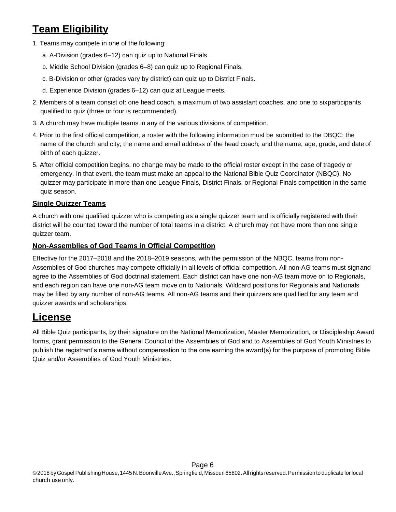# <span id="page-5-0"></span>**Team Eligibility**

- 1. Teams may compete in one of the following:
	- a. A-Division (grades 6–12) can quiz up to National Finals.
	- b. Middle School Division (grades 6–8) can quiz up to Regional Finals.
	- c. B-Division or other (grades vary by district) can quiz up to District Finals.
	- d. Experience Division (grades 6–12) can quiz at League meets.
- 2. Members of a team consist of: one head coach, a maximum of two assistant coaches, and one to sixparticipants qualified to quiz (three or four is recommended).
- 3. A church may have multiple teams in any of the various divisions of competition.
- 4. Prior to the first official competition, a roster with the following information must be submitted to the DBQC: the name of the church and city; the name and email address of the head coach; and the name, age, grade, and dateof birth of each quizzer.
- 5. After official competition begins, no change may be made to the official roster except in the case of tragedy or emergency. In that event, the team must make an appeal to the National Bible Quiz Coordinator (NBQC). No quizzer may participate in more than one League Finals, District Finals, or Regional Finals competition in the same quiz season.

### <span id="page-5-1"></span>**Single Quizzer Teams**

A church with one qualified quizzer who is competing as a single quizzer team and is officially registered with their district will be counted toward the number of total teams in a district. A church may not have more than one single quizzer team.

### <span id="page-5-2"></span>**Non-Assemblies of God Teams in Official Competition**

Effective for the 2017–2018 and the 2018–2019 seasons, with the permission of the NBQC, teams from non-Assemblies of God churches may compete officially in all levels of official competition. All non-AG teams must signand agree to the Assemblies of God doctrinal statement. Each district can have one non-AG team move on to Regionals, and each region can have one non-AG team move on to Nationals. Wildcard positions for Regionals and Nationals may be filled by any number of non-AG teams. All non-AG teams and their quizzers are qualified for any team and quizzer awards and scholarships.

### <span id="page-5-3"></span>**License**

All Bible Quiz participants, by their signature on the National Memorization, Master Memorization, or Discipleship Award forms, grant permission to the General Council of the Assemblies of God and to Assemblies of God Youth Ministries to publish the registrant's name without compensation to the one earning the award(s) for the purpose of promoting Bible Quiz and/or Assemblies of God Youth Ministries.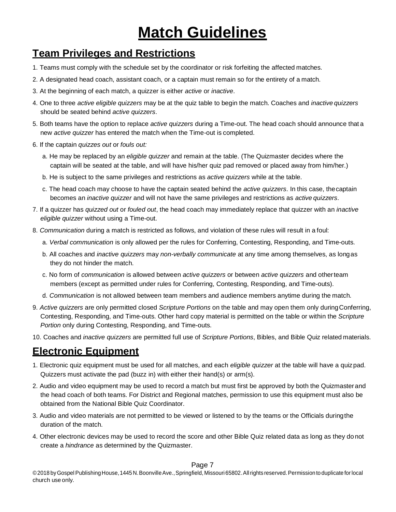# **Match Guidelines**

## <span id="page-6-1"></span><span id="page-6-0"></span>**Team Privileges and Restrictions**

- 1. Teams must comply with the schedule set by the coordinator or risk forfeiting the affected matches.
- 2. A designated head coach, assistant coach, or a captain must remain so for the entirety of a match.
- 3. At the beginning of each match, a quizzer is either *active* or *inactive*.
- 4. One to three *active eligible quizzers* may be at the quiz table to begin the match. Coaches and *inactivequizzers* should be seated behind *active quizzers*.
- 5. Both teams have the option to replace *active quizzers* during a Time-out. The head coach should announce thata new *active quizzer* has entered the match when the Time-out is completed.
- 6. If the captain *quizzes out* or *fouls out:*
	- a. He may be replaced by an *eligible quizzer* and remain at the table. (The Quizmaster decides where the captain will be seated at the table, and will have his/her quiz pad removed or placed away from him/her.)
	- b. He is subject to the same privileges and restrictions as *active quizzers* while at the table.
	- c. The head coach may choose to have the captain seated behind the *active quizzers*. In this case, thecaptain becomes an *inactive quizzer* and will not have the same privileges and restrictions as *activequizzers*.
- 7. If a quizzer has *quizzed out* or *fouled out*, the head coach may immediately replace that quizzer with an *inactive eligible quizzer* without using a Time-out.
- 8. *Communication* during a match is restricted as follows, and violation of these rules will result in afoul:
	- a. *Verbal communication* is only allowed per the rules for Conferring, Contesting, Responding, and Time-outs.
	- b. All coaches and *inactive quizzers* may *non-verbally communicate* at any time among themselves, as longas they do not hinder the match.
	- c. No form of *communication* is allowed between *active quizzers* or between *active quizzers* and otherteam members (except as permitted under rules for Conferring, Contesting, Responding, and Time-outs).
	- d. *Communication* is not allowed between team members and audience members anytime during the match.
- 9. *Active quizzers* are only permitted closed *Scripture Portions* on the table and may open them only duringConferring, Contesting, Responding, and Time-outs. Other hard copy material is permitted on the table or within the *Scripture Portion* only during Contesting, Responding, and Time-outs.
- 10. Coaches and *inactive quizzers* are permitted full use of *Scripture Portions*, Bibles, and Bible Quiz related materials.

### <span id="page-6-2"></span>**Electronic Equipment**

- 1. Electronic quiz equipment must be used for all matches, and each *eligible quizzer* at the table will have a quizpad. Quizzers must activate the pad (buzz in) with either their hand(s) or arm(s).
- 2. Audio and video equipment may be used to record a match but must first be approved by both the Quizmasterand the head coach of both teams. For District and Regional matches, permission to use this equipment must also be obtained from the National Bible Quiz Coordinator.
- 3. Audio and video materials are not permitted to be viewed or listened to by the teams or the Officials duringthe duration of the match.
- 4. Other electronic devices may be used to record the score and other Bible Quiz related data as long as they donot create a *hindrance* as determined by the Quizmaster.

### Page 7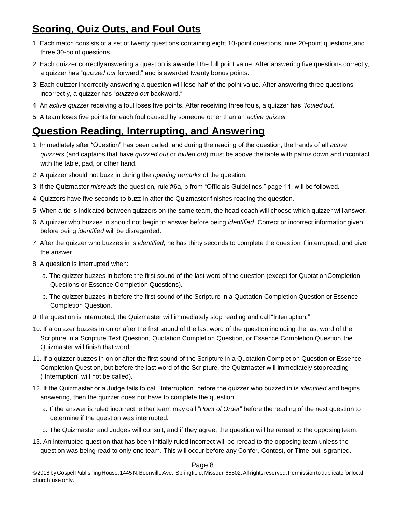# <span id="page-7-0"></span>**Scoring, Quiz Outs, and Foul Outs**

- 1. Each match consists of a set of twenty questions containing eight 10-point questions, nine 20-point questions,and three 30-point questions.
- 2. Each quizzer correctlyanswering a question is awarded the full point value. After answering five questions correctly, a quizzer has "*quizzed out* forward," and is awarded twenty bonus points.
- 3. Each quizzer incorrectly answering a question will lose half of the point value. After answering three questions incorrectly, a quizzer has "*quizzed out* backward."
- 4. An *active quizzer* receiving a foul loses five points. After receiving three fouls, a quizzer has "*fouledout*."
- 5. A team loses five points for each foul caused by someone other than an *active quizzer*.

### <span id="page-7-1"></span>**Question Reading, Interrupting, and Answering**

- 1. Immediately after "Question" has been called, and during the reading of the question, the hands of all *active quizzers* (and captains that have *quizzed out* or *fouled out*) must be above the table with palms down and incontact with the table, pad, or other hand.
- 2. A quizzer should not buzz in during the *opening remarks* of the question.
- 3. If the Quizmaster *misreads* the question, rule #6a, b from "Officials Guidelines," page 11, will be followed.
- 4. Quizzers have five seconds to buzz in after the Quizmaster finishes reading the question.
- 5. When a tie is indicated between quizzers on the same team, the head coach will choose which quizzer willanswer.
- 6. A quizzer who buzzes in should not begin to answer before being *identified*. Correct or incorrect informationgiven before being *identified* will be disregarded.
- 7. After the quizzer who buzzes in is *identified*, he has thirty seconds to complete the question if interrupted, and give the answer.
- 8. A question is interrupted when:
	- a. The quizzer buzzes in before the first sound of the last word of the question (except for QuotationCompletion Questions or Essence Completion Questions).
	- b. The quizzer buzzes in before the first sound of the Scripture in a Quotation Completion Question orEssence Completion Question.
- 9. If a question is interrupted, the Quizmaster will immediately stop reading and call "Interruption."
- 10. If a quizzer buzzes in on or after the first sound of the last word of the question including the last word of the Scripture in a Scripture Text Question, Quotation Completion Question, or Essence Completion Question,the Quizmaster will finish that word.
- 11. If a quizzer buzzes in on or after the first sound of the Scripture in a Quotation Completion Question or Essence Completion Question, but before the last word of the Scripture, the Quizmaster will immediately stopreading ("Interruption" will not be called).
- 12. If the Quizmaster or a Judge fails to call "Interruption" before the quizzer who buzzed in is *identified* and begins answering, then the quizzer does not have to complete the question.
	- a. If the answer is ruled incorrect, either team may call "*Point of Order*" before the reading of the next question to determine if the question was interrupted.
	- b. The Quizmaster and Judges will consult, and if they agree, the question will be reread to the opposingteam.
- 13. An interrupted question that has been initially ruled incorrect will be reread to the opposing team unless the question was being read to only one team. This will occur before any Confer, Contest, or Time-out isgranted.

#### Page 8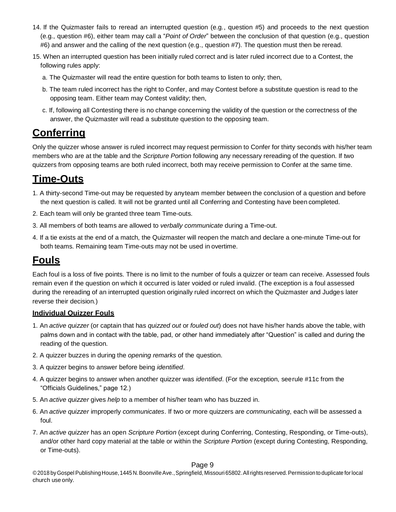- 14. If the Quizmaster fails to reread an interrupted question (e.g., question #5) and proceeds to the next question (e.g., question #6), either team may call a "*Point of Order*" between the conclusion of that question (e.g., question #6) and answer and the calling of the next question (e.g., question #7). The question must then be reread.
- 15. When an interrupted question has been initially ruled correct and is later ruled incorrect due to a Contest, the following rules apply:
	- a. The Quizmaster will read the entire question for both teams to listen to only; then,
	- b. The team ruled incorrect has the right to Confer, and may Contest before a substitute question is read to the opposing team. Either team may Contest validity; then,
	- c. If, following all Contesting there is no change concerning the validity of the question or the correctness of the answer, the Quizmaster will read a substitute question to the opposing team.

### <span id="page-8-0"></span>**Conferring**

Only the quizzer whose answer is ruled incorrect may request permission to Confer for thirty seconds with his/her team members who are at the table and the *Scripture Portion* following any necessary rereading of the question. If two quizzers from opposing teams are both ruled incorrect, both may receive permission to Confer at the same time.

### <span id="page-8-1"></span>**Time-Outs**

- 1. A thirty-second Time-out may be requested by anyteam member between the conclusion of a question and before the next question is called. It will not be granted until all Conferring and Contesting have beencompleted.
- 2. Each team will only be granted three team Time-outs.
- 3. All members of both teams are allowed to *verbally communicate* during a Time-out.
- 4. If a tie exists at the end of a match, the Quizmaster will reopen the match and declare a one-minute Time-out for both teams. Remaining team Time-outs may not be used in overtime.

## <span id="page-8-2"></span>**Fouls**

Each foul is a loss of five points. There is no limit to the number of fouls a quizzer or team can receive. Assessed fouls remain even if the question on which it occurred is later voided or ruled invalid. (The exception is a foul assessed during the rereading of an interrupted question originally ruled incorrect on which the Quizmaster and Judges later reverse their decision.)

### <span id="page-8-3"></span>**Individual Quizzer Fouls**

- 1. An *active quizzer* (or captain that has *quizzed out* or *fouled out*) does not have his/her hands above the table, with palms down and in contact with the table, pad, or other hand immediately after "Question" is called and during the reading of the question.
- 2. A quizzer buzzes in during the *opening remarks* of the question.
- 3. A quizzer begins to answer before being *identified*.
- 4. A quizzer begins to answer when another quizzer was *identified*. (For the exception, seerule #11c from the "Officials Guidelines," page 12.)
- 5. An *active quizzer* gives *help* to a member of his/her team who has buzzed in.
- 6. An *active quizzer* improperly *communicates*. If two or more quizzers are *communicating*, each will be assessed a foul.
- 7. An *active quizzer* has an open *Scripture Portion* (except during Conferring, Contesting, Responding, or Time-outs), and/or other hard copy material at the table or within the *Scripture Portion* (except during Contesting, Responding, or Time-outs).

#### Page 9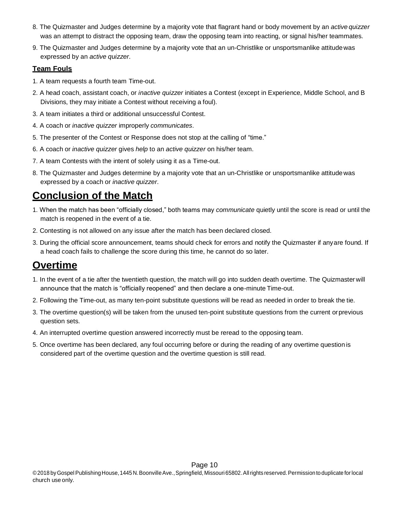- 8. The Quizmaster and Judges determine by a majority vote that flagrant hand or body movement by an *activequizzer* was an attempt to distract the opposing team, draw the opposing team into reacting, or signal his/her teammates.
- 9. The Quizmaster and Judges determine by a majority vote that an un-Christlike or unsportsmanlike attitudewas expressed by an *active quizzer*.

### <span id="page-9-0"></span>**Team Fouls**

- 1. A team requests a fourth team Time-out.
- 2. A head coach, assistant coach, or *inactive quizzer* initiates a Contest (except in Experience, Middle School, and B Divisions, they may initiate a Contest without receiving a foul).
- 3. A team initiates a third or additional unsuccessful Contest.
- 4. A coach or *inactive quizzer* improperly *communicates*.
- 5. The presenter of the Contest or Response does not stop at the calling of "time."
- 6. A coach or *inactive quizzer* gives *help* to an *active quizzer* on his/her team.
- 7. A team Contests with the intent of solely using it as a Time-out.
- 8. The Quizmaster and Judges determine by a majority vote that an un-Christlike or unsportsmanlike attitudewas expressed by a coach or *inactive quizzer*.

# <span id="page-9-1"></span>**Conclusion of the Match**

- 1. When the match has been "officially closed," both teams may *communicate* quietly until the score is read or until the match is reopened in the event of a tie.
- 2. Contesting is not allowed on any issue after the match has been declared closed.
- 3. During the official score announcement, teams should check for errors and notify the Quizmaster if anyare found. If a head coach fails to challenge the score during this time, he cannot do so later.

# <span id="page-9-2"></span>**Overtime**

- 1. In the event of a tie after the twentieth question, the match will go into sudden death overtime. The Quizmaster will announce that the match is "officially reopened" and then declare a one-minute Time-out.
- 2. Following the Time-out, as many ten-point substitute questions will be read as needed in order to break the tie.
- 3. The overtime question(s) will be taken from the unused ten-point substitute questions from the current orprevious question sets.
- 4. An interrupted overtime question answered incorrectly must be reread to the opposingteam.
- 5. Once overtime has been declared, any foul occurring before or during the reading of any overtime questionis considered part of the overtime question and the overtime question is still read.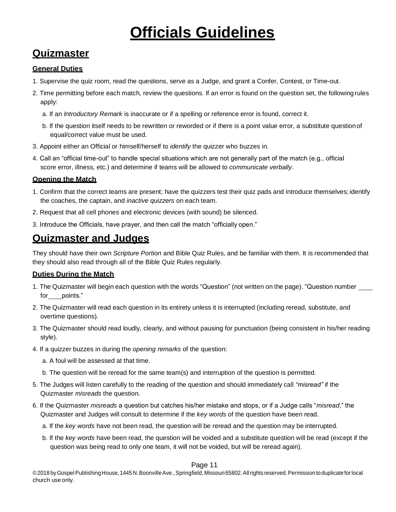# **Officials Guidelines**

## <span id="page-10-1"></span><span id="page-10-0"></span>**Quizmaster**

### <span id="page-10-2"></span>**General Duties**

- 1. Supervise the quiz room, read the questions, serve as a Judge, and grant a Confer, Contest, or Time-out.
- 2. Time permitting before each match, review the questions. If an error is found on the question set, the followingrules apply:
	- a. If an *Introductory Remark* is inaccurate or if a spelling or reference error is found, correct it.
	- b. If the question itself needs to be rewritten or reworded or if there is a point value error, a substitute questionof equal/correct value must be used.
- 3. Appoint either an Official or himself/herself to *identify* the quizzer who buzzes in.
- 4. Call an "official time-out" to handle special situations which are not generally part of the match (e.g., official score error, illness, etc.) and determine if teams will be allowed to *communicate verbally*.

### <span id="page-10-3"></span>**Opening the Match**

- 1. Confirm that the correct teams are present; have the quizzers test their quiz pads and introduce themselves;identify the coaches, the captain, and *inactive quizzers* on each team.
- 2. Request that all cell phones and electronic devices (with sound) be silenced.
- 3. Introduce the Officials, have prayer, and then call the match "officially open."

### <span id="page-10-4"></span>**Quizmaster and Judges**

They should have their own *Scripture Portion* and Bible Quiz Rules, and be familiar with them. It is recommended that they should also read through all of the Bible Quiz Rules regularly.

### <span id="page-10-5"></span>**Duties During the Match**

- 1. The Quizmaster will begin each question with the words "Question" (not written on the page). "Question number \_\_\_\_ for points."
- 2. The Quizmaster will read each question in its entirety unless it is interrupted (including reread, substitute, and overtime questions).
- 3. The Quizmaster should read loudly, clearly, and without pausing for punctuation (being consistent in his/her reading style).
- 4. If a quizzer buzzes in during the *opening remarks* of the question:
	- a. A foul will be assessed at that time.
	- b. The question will be reread for the same team(s) and interruption of the question is permitted.
- 5. The Judges will listen carefully to the reading of the question and should immediately call *"misread"* if the Quizmaster *misreads* the question.
- 6. If the Quizmaster *misreads* a question but catches his/her mistake and stops, or if a Judge calls "*misread*," the Quizmaster and Judges will consult to determine if the *key words* of the question have been read.
	- a. If the *key words* have not been read, the question will be reread and the question may beinterrupted.
	- b. If the *key words* have been read, the question will be voided and a substitute question will be read (except if the question was being read to only one team, it will not be voided, but will be reread again).

### Page 11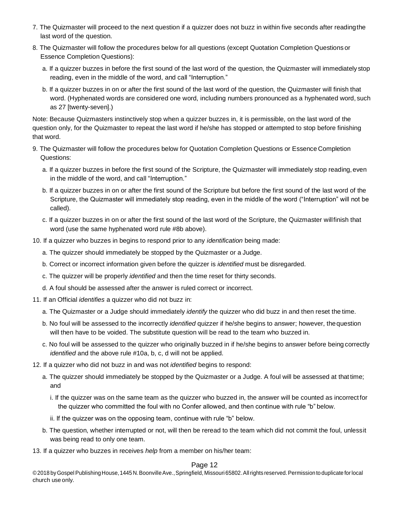- 7. The Quizmaster will proceed to the next question if a quizzer does not buzz in within five seconds after readingthe last word of the question.
- 8. The Quizmaster will follow the procedures below for all questions (except Quotation Completion Questionsor Essence Completion Questions):
	- a. If a quizzer buzzes in before the first sound of the last word of the question, the Quizmaster will immediately stop reading, even in the middle of the word, and call "Interruption."
	- b. If a quizzer buzzes in on or after the first sound of the last word of the question, the Quizmaster will finish that word. (Hyphenated words are considered one word, including numbers pronounced as a hyphenated word, such as 27 [twenty-seven].)

Note: Because Quizmasters instinctively stop when a quizzer buzzes in, it is permissible, on the last word of the question only, for the Quizmaster to repeat the last word if he/she has stopped or attempted to stop before finishing that word.

- 9. The Quizmaster will follow the procedures below for Quotation Completion Questions or Essence Completion Questions:
	- a. If a quizzer buzzes in before the first sound of the Scripture, the Quizmaster will immediately stop reading, even in the middle of the word, and call "Interruption."
	- b. If a quizzer buzzes in on or after the first sound of the Scripture but before the first sound of the last word of the Scripture, the Quizmaster will immediately stop reading, even in the middle of the word ("Interruption" will not be called).
	- c. If a quizzer buzzes in on or after the first sound of the last word of the Scripture, the Quizmaster willfinish that word (use the same hyphenated word rule #8b above).
- 10. If a quizzer who buzzes in begins to respond prior to any *identification* being made:
	- a. The quizzer should immediately be stopped by the Quizmaster or a Judge.
	- b. Correct or incorrect information given before the quizzer is *identified* must be disregarded.
	- c. The quizzer will be properly *identified* and then the time reset for thirty seconds.
	- d. A foul should be assessed after the answer is ruled correct or incorrect.
- 11. If an Official *identifies* a quizzer who did not buzz in:
	- a. The Quizmaster or a Judge should immediately *identify* the quizzer who did buzz in and then reset thetime.
	- b. No foul will be assessed to the incorrectly *identified* quizzer if he/she begins to answer; however, thequestion will then have to be voided. The substitute question will be read to the team who buzzed in.
	- c. No foul will be assessed to the quizzer who originally buzzed in if he/she begins to answer before being correctly *identified* and the above rule #10a, b, c, d will not be applied.
- 12. If a quizzer who did not buzz in and was not *identified* begins to respond:
	- a. The quizzer should immediately be stopped by the Quizmaster or a Judge. A foul will be assessed at thattime; and
		- i. If the quizzer was on the same team as the quizzer who buzzed in, the answer will be counted as incorrectfor the quizzer who committed the foul with no Confer allowed, and then continue with rule "b" below.
		- ii. If the quizzer was on the opposing team, continue with rule "b" below.
	- b. The question, whether interrupted or not, will then be reread to the team which did not commit the foul, unlessit was being read to only one team.
- 13. If a quizzer who buzzes in receives *help* from a member on his/her team:

#### Page 12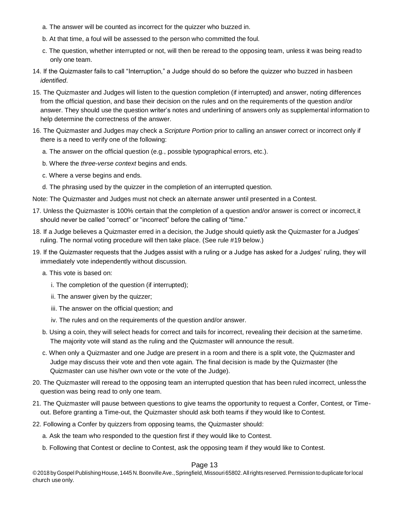- a. The answer will be counted as incorrect for the quizzer who buzzed in.
- b. At that time, a foul will be assessed to the person who committed the foul.
- c. The question, whether interrupted or not, will then be reread to the opposing team, unless it was being readto only one team.
- 14. If the Quizmaster fails to call "Interruption," a Judge should do so before the quizzer who buzzed in hasbeen *identified*.
- 15. The Quizmaster and Judges will listen to the question completion (if interrupted) and answer, noting differences from the official question, and base their decision on the rules and on the requirements of the question and/or answer. They should use the question writer's notes and underlining of answers only as supplemental information to help determine the correctness of the answer.
- 16. The Quizmaster and Judges may check a *Scripture Portion* prior to calling an answer correct or incorrect only if there is a need to verify one of the following:
	- a. The answer on the official question (e.g., possible typographical errors, etc.).
	- b. Where the *three-verse context* begins and ends.
	- c. Where a verse begins and ends.
	- d. The phrasing used by the quizzer in the completion of an interrupted question.

Note: The Quizmaster and Judges must not check an alternate answer until presented in a Contest.

- 17. Unless the Quizmaster is 100% certain that the completion of a question and/or answer is correct or incorrect, it should never be called "correct" or "incorrect" before the calling of "time."
- 18. If a Judge believes a Quizmaster erred in a decision, the Judge should quietly ask the Quizmaster for a Judges' ruling. The normal voting procedure will then take place. (See rule #19 below.)
- 19. If the Quizmaster requests that the Judges assist with a ruling or a Judge has asked for a Judges' ruling, they will immediately vote independently without discussion.
	- a. This vote is based on:
		- i. The completion of the question (if interrupted);
		- ii. The answer given by the quizzer;
		- iii. The answer on the official question; and
		- iv. The rules and on the requirements of the question and/or answer.
	- b. Using a coin, they will select heads for correct and tails for incorrect, revealing their decision at the sametime. The majority vote will stand as the ruling and the Quizmaster will announce the result.
	- c. When only a Quizmaster and one Judge are present in a room and there is a split vote, the Quizmasterand Judge may discuss their vote and then vote again. The final decision is made by the Quizmaster (the Quizmaster can use his/her own vote or the vote of the Judge).
- 20. The Quizmaster will reread to the opposing team an interrupted question that has been ruled incorrect, unless the question was being read to only one team.
- 21. The Quizmaster will pause between questions to give teams the opportunity to request a Confer, Contest, or Timeout. Before granting a Time-out, the Quizmaster should ask both teams if they would like to Contest.
- 22. Following a Confer by quizzers from opposing teams, the Quizmaster should:
	- a. Ask the team who responded to the question first if they would like to Contest.
	- b. Following that Contest or decline to Contest, ask the opposing team if they would like to Contest.

### Page 13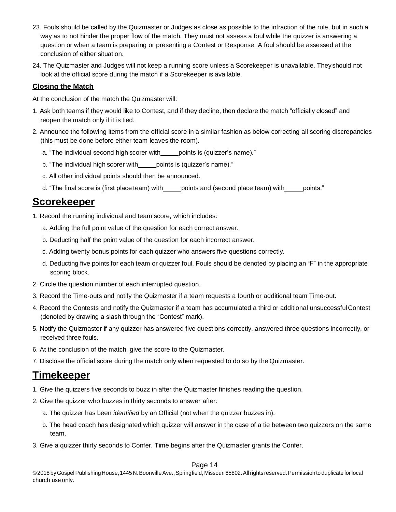- 23. Fouls should be called by the Quizmaster or Judges as close as possible to the infraction of the rule, but in such a way as to not hinder the proper flow of the match. They must not assess a foul while the quizzer is answering a question or when a team is preparing or presenting a Contest or Response. A foul should be assessed at the conclusion of either situation.
- 24. The Quizmaster and Judges will not keep a running score unless a Scorekeeper is unavailable. Theyshould not look at the official score during the match if a Scorekeeper is available.

### <span id="page-13-0"></span>**Closing the Match**

At the conclusion of the match the Quizmaster will:

- 1. Ask both teams if they would like to Contest, and if they decline, then declare the match "officially closed" and reopen the match only if it is tied.
- 2. Announce the following items from the official score in a similar fashion as below correcting all scoring discrepancies (this must be done before either team leaves the room).
	- a. "The individual second high scorer with \_\_\_\_ points is (quizzer's name)."
	- b. "The individual high scorer with points is (quizzer's name)."
	- c. All other individual points should then be announced.
	- d. "The final score is (first place team) with points and (second place team) with points."

### <span id="page-13-1"></span>**Scorekeeper**

- 1. Record the running individual and team score, which includes:
	- a. Adding the full point value of the question for each correct answer.
	- b. Deducting half the point value of the question for each incorrect answer.
	- c. Adding twenty bonus points for each quizzer who answers five questions correctly.
	- d. Deducting five points for each team or quizzer foul. Fouls should be denoted by placing an "F" in the appropriate scoring block.
- 2. Circle the question number of each interrupted question.
- 3. Record the Time-outs and notify the Quizmaster if a team requests a fourth or additional team Time-out.
- 4. Record the Contests and notify the Quizmaster if a team has accumulated a third or additional unsuccessfulContest (denoted by drawing a slash through the "Contest" mark).
- 5. Notify the Quizmaster if any quizzer has answered five questions correctly, answered three questions incorrectly, or received three fouls.
- 6. At the conclusion of the match, give the score to the Quizmaster.
- 7. Disclose the official score during the match only when requested to do so by the Quizmaster.

### <span id="page-13-2"></span>**Timekeeper**

- 1. Give the quizzers five seconds to buzz in after the Quizmaster finishes reading the question.
- 2. Give the quizzer who buzzes in thirty seconds to answer after:
	- a. The quizzer has been *identified* by an Official (not when the quizzer buzzes in).
	- b. The head coach has designated which quizzer will answer in the case of a tie between two quizzers on the same team.
- 3. Give a quizzer thirty seconds to Confer. Time begins after the Quizmaster grants the Confer.

#### Page 14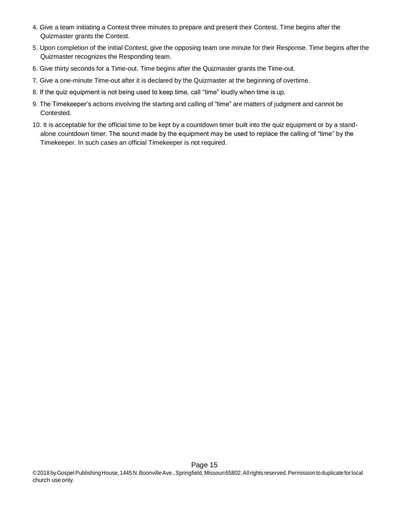- 4. Give a team initiating a Contest three minutes to prepare and present their Contest. Time begins after the Quizmaster grants the Contest.
- 5. Upon completion of the initial Contest, give the opposing team one minute for their Response. Time begins afterthe Quizmaster recognizes the Responding team.
- 6. Give thirty seconds for a Time-out. Time begins after the Quizmaster grants the Time-out.
- 7. Give a one-minute Time-out after it is declared by the Quizmaster at the beginning of overtime.
- 8. If the quiz equipment is not being used to keep time, call "time" loudly when time isup.
- 9. The Timekeeper's actions involving the starting and calling of "time" are matters of judgment and cannot be Contested.
- 10. It is acceptable for the official time to be kept by a countdown timer built into the quiz equipment or by a standalone countdown timer. The sound made by the equipment may be used to replace the calling of "time" by the Timekeeper. In such cases an official Timekeeper is not required.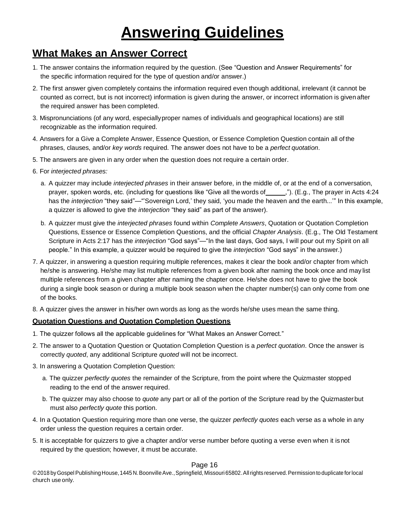# **Answering Guidelines**

## <span id="page-15-1"></span><span id="page-15-0"></span>**What Makes an Answer Correct**

- 1. The answer contains the information required by the question. (See "Question and Answer Requirements" for the specific information required for the type of question and/or answer.)
- 2. The first answer given completely contains the information required even though additional, irrelevant (it cannot be counted as correct, but is not incorrect) information is given during the answer, or incorrect information is given after the required answer has been completed.
- 3. Mispronunciations (of any word, especiallyproper names of individuals and geographical locations) are still recognizable as the information required.
- 4. Answers for a Give a Complete Answer, Essence Question, or Essence Completion Question contain all ofthe phrases, clauses, and/or *key words* required. The answer does not have to be a *perfect quotation*.
- 5. The answers are given in any order when the question does not require a certain order.
- 6. For *interjected phrases:*
	- a. A quizzer may include *interjected phrases* in their answer before, in the middle of, or at the end of a conversation, prayer, spoken words, etc. (including for questions like "Give all the words of \_\_\_\_\_,"). (E.g., The prayer in Acts 4:24 has the *interjection* "they said"—"'Sovereign Lord,' they said, 'you made the heaven and the earth...'" In this example, a quizzer is allowed to give the *interjection* "they said" as part of the answer).
	- b. A quizzer must give the *interjected phrases* found within *Complete Answers*, Quotation or Quotation Completion Questions, Essence or Essence Completion Questions, and the official *Chapter Analysis*. (E.g., The Old Testament Scripture in Acts 2:17 has the *interjection* "God says"—"In the last days, God says, I will pour out my Spirit on all people." In this example, a quizzer would be required to give the *interjection* "God says" in the answer.)
- 7. A quizzer, in answering a question requiring multiple references, makes it clear the book and/or chapter from which he/she is answering. He/she may list multiple references from a given book after naming the book once and may list multiple references from a given chapter after naming the chapter once. He/she does not have to give the book during a single book season or during a multiple book season when the chapter number(s) can only come from one of the books.
- 8. A quizzer gives the answer in his/her own words as long as the words he/she uses mean the same thing.

### <span id="page-15-2"></span>**Quotation Questions and Quotation Completion Questions**

- 1. The quizzer follows all the applicable guidelines for "What Makes an Answer Correct."
- 2. The answer to a Quotation Question or Quotation Completion Question is a *perfect quotation*. Once the answer is correctly *quoted*, any additional Scripture *quoted* will not be incorrect.
- 3. In answering a Quotation Completion Question:
	- a. The quizzer *perfectly quotes* the remainder of the Scripture, from the point where the Quizmaster stopped reading to the end of the answer required.
	- b. The quizzer may also choose to *quote* any part or all of the portion of the Scripture read by the Quizmasterbut must also *perfectly quote* this portion.
- 4. In a Quotation Question requiring more than one verse, the quizzer *perfectly quotes* each verse as a whole in any order unless the question requires a certain order.
- 5. It is acceptable for quizzers to give a chapter and/or verse number before quoting a verse even when it isnot required by the question; however, it must be accurate.

#### Page 16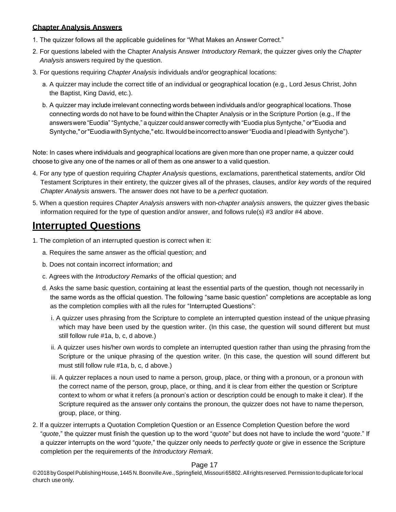### <span id="page-16-0"></span>**Chapter Analysis Answers**

- 1. The quizzer follows all the applicable guidelines for "What Makes an Answer Correct."
- 2. For questions labeled with the Chapter Analysis Answer *Introductory Remark*, the quizzer gives only the *Chapter Analysis* answers required by the question.
- 3. For questions requiring *Chapter Analysis* individuals and/or geographical locations:
	- a. A quizzer may include the correct title of an individual or geographical location (e.g., Lord Jesus Christ, John the Baptist, King David, etc.).
	- b. A quizzer may include irrelevant connecting words between individuals and/or geographical locations. Those connecting words do not have to be found within the Chapter Analysis or in the Scripture Portion (e.g., If the answers were "Euodia" "Syntyche," a quizzer could answer correctly with "Euodia plus Syntyche," or"Euodia and Syntyche," or"Euodia with Syntyche," etc. Itwould beincorrect toanswer "Euodia and I plead with Syntyche").

Note: In cases where individuals and geographical locations are given more than one proper name, a quizzer could choose to give any one of the names or all of them as one answer to a valid question.

- 4. For any type of question requiring *Chapter Analysis* questions, exclamations, parenthetical statements, and/or Old Testament Scriptures in their entirety, the quizzer gives all of the phrases, clauses, and/or *key words* of the required *Chapter Analysis* answers. The answer does not have to be a *perfect quotation*.
- 5. When a question requires *Chapter Analysis* answers with non-*chapter analysis* answers, the quizzer gives thebasic information required for the type of question and/or answer, and follows rule(s) #3 and/or #4 above.

### <span id="page-16-1"></span>**Interrupted Questions**

- 1. The completion of an interrupted question is correct when it:
	- a. Requires the same answer as the official question; and
	- b. Does not contain incorrect information; and
	- c. Agrees with the *Introductory Remarks* of the official question; and
	- d. Asks the same basic question, containing at least the essential parts of the question, though not necessarily in the same words as the official question. The following "same basic question" completions are acceptable as long as the completion complies with all the rules for "Interrupted Questions":
		- i. A quizzer uses phrasing from the Scripture to complete an interrupted question instead of the unique phrasing which may have been used by the question writer. (In this case, the question will sound different but must still follow rule #1a, b, c, d above.)
		- ii. A quizzer uses his/her own words to complete an interrupted question rather than using the phrasing from the Scripture or the unique phrasing of the question writer. (In this case, the question will sound different but must still follow rule #1a, b, c, d above.)
		- iii. A quizzer replaces a noun used to name a person, group, place, or thing with a pronoun, or a pronoun with the correct name of the person, group, place, or thing, and it is clear from either the question or Scripture context to whom or what it refers (a pronoun's action or description could be enough to make it clear). If the Scripture required as the answer only contains the pronoun, the quizzer does not have to name theperson, group, place, or thing.
- 2. If a quizzer interrupts a Quotation Completion Question or an Essence Completion Question before the word "*quote*," the quizzer must finish the question up to the word "*quote*" but does not have to include the word "*quote*." If a quizzer interrupts on the word "*quote*," the quizzer only needs to *perfectly quote* or give in essence the Scripture completion per the requirements of the *Introductory Remark*.

### Page 17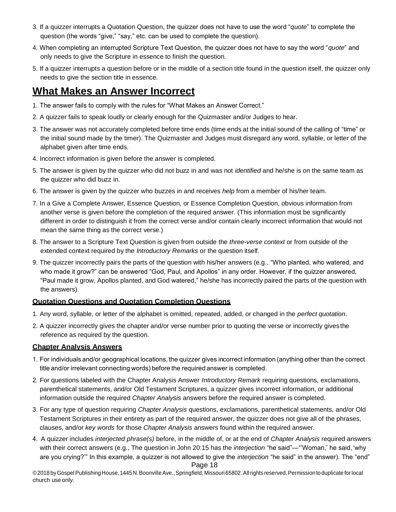- 3. If a quizzer interrupts a Quotation Question, the quizzer does not have to use the word "*quote*" to complete the question (the words "give," "say," etc. can be used to complete the question).
- 4. When completing an interrupted Scripture Text Question, the quizzer does not have to say the word "*quote*" and only needs to give the Scripture in essence to finish the question.
- 5. If a quizzer interrupts a question before or in the middle of a section title found in the question itself, the quizzer only needs to give the section title in essence.

## <span id="page-17-0"></span>**What Makes an Answer Incorrect**

- 1. The answer fails to comply with the rules for "What Makes an Answer Correct."
- 2. A quizzer fails to speak loudly or clearly enough for the Quizmaster and/or Judges to hear.
- 3. The answer was not accurately completed before time ends (time ends at the initial sound of the calling of "time" or the initial sound made by the timer). The Quizmaster and Judges must disregard any word, syllable, or letter of the alphabet given after time ends.
- 4. Incorrect information is given before the answer is completed.
- 5. The answer is given by the quizzer who did not buzz in and was not *identified* and he/she is on the same team as the quizzer who did buzz in.
- 6. The answer is given by the quizzer who buzzes in and receives *help* from a member of his/her team.
- 7. In a Give a Complete Answer, Essence Question, or Essence Completion Question, obvious information from another verse is given before the completion of the required answer. (This information must be significantly different in order to distinguish it from the correct verse and/or contain clearly incorrect information that would not mean the same thing as the correct verse.)
- 8. The answer to a Scripture Text Question is given from outside the *three-verse context* or from outside of the extended context required by the *Introductory Remarks* or the question itself.
- 9. The quizzer incorrectly pairs the parts of the question with his/her answers (e.g., "Who planted, who watered, and who made it grow?" can be answered "God, Paul, and Apollos" in any order. However, if the quizzer answered, "Paul made it grow, Apollos planted, and God watered," he/she has incorrectly paired the parts of the question with the answers).

### <span id="page-17-1"></span>**Quotation Questions and Quotation Completion Questions**

- 1. Any word, syllable, or letter of the alphabet is omitted, repeated, added, or changed in the *perfect quotation*.
- 2. A quizzer incorrectly gives the chapter and/or verse number prior to quoting the verse or incorrectly givesthe reference as required by the question.

### <span id="page-17-2"></span>**Chapter Analysis Answers**

- 1. For individuals and/or geographical locations, the quizzer gives incorrect information (anything other than the correct title and/or irrelevant connecting words) before the required answer is completed.
- 2. For questions labeled with the Chapter Analysis Answer *Introductory Remark* requiring questions, exclamations, parenthetical statements, and/or Old Testament Scriptures, a quizzer gives incorrect information, or additional information outside the required *Chapter Analysis* answers before the required answer is completed.
- 3. For any type of question requiring *Chapter Analysis* questions, exclamations, parenthetical statements, and/or Old Testament Scriptures in their entirety as part of the required answer, the quizzer does not give all of the phrases, clauses, and/or *key words* for those *Chapter Analysis* answers found within the required answer.
- 4. A quizzer includes *interjected phrase(s)* before, in the middle of, or at the end of *Chapter Analysis* required answers with their correct answers (e.g., The question in John 20:15 has the *interjection* "he said"—"'Woman,' he said,'why are you crying?'" In this example, a quizzer is not allowed to give the *interjection* "he said" in the answer). The "end"

Page 18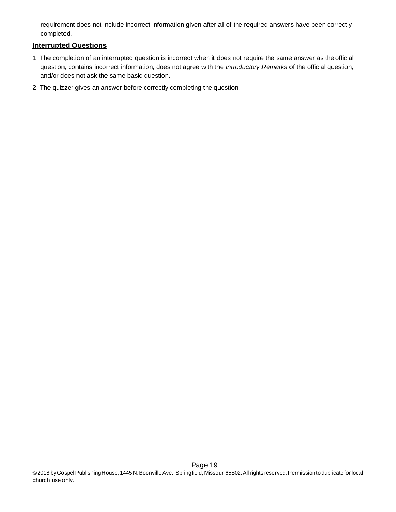requirement does not include incorrect information given after all of the required answers have been correctly completed.

### <span id="page-18-0"></span>**Interrupted Questions**

- 1. The completion of an interrupted question is incorrect when it does not require the same answer as theofficial question, contains incorrect information, does not agree with the *Introductory Remarks* of the official question, and/or does not ask the same basic question.
- 2. The quizzer gives an answer before correctly completing the question.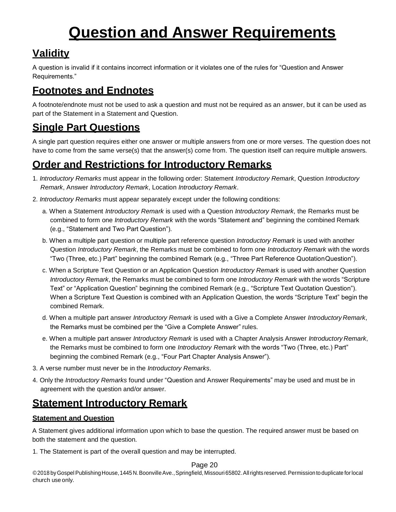# **Question and Answer Requirements**

# <span id="page-19-1"></span><span id="page-19-0"></span>**Validity**

A question is invalid if it contains incorrect information or it violates one of the rules for "Question and Answer Requirements."

# <span id="page-19-2"></span>**Footnotes and Endnotes**

A footnote/endnote must not be used to ask a question and must not be required as an answer, but it can be used as part of the Statement in a Statement and Question.

# <span id="page-19-3"></span>**Single Part Questions**

A single part question requires either one answer or multiple answers from one or more verses. The question does not have to come from the same verse(s) that the answer(s) come from. The question itself can require multiple answers.

# <span id="page-19-4"></span>**Order and Restrictions for Introductory Remarks**

- 1. *Introductory Remarks* must appear in the following order: Statement *Introductory Remark*, Question *Introductory Remark*, Answer *Introductory Remark*, Location *Introductory Remark*.
- 2. *Introductory Remarks* must appear separately except under the following conditions:
	- a. When a Statement *Introductory Remark* is used with a Question *Introductory Remark*, the Remarks must be combined to form one *Introductory Remark* with the words "Statement and" beginning the combined Remark (e.g., "Statement and Two Part Question").
	- b. When a multiple part question or multiple part reference question *Introductory Remark* is used with another Question *Introductory Remark*, the Remarks must be combined to form one *Introductory Remark* with the words "Two (Three, etc.) Part" beginning the combined Remark (e.g., "Three Part Reference QuotationQuestion").
	- c. When a Scripture Text Question or an Application Question *Introductory Remark* is used with another Question *Introductory Remark*, the Remarks must be combined to form one *Introductory Remark* with the words "Scripture Text" or "Application Question" beginning the combined Remark (e.g., "Scripture Text Quotation Question"). When a Scripture Text Question is combined with an Application Question, the words "Scripture Text" begin the combined Remark.
	- d. When a multiple part answer *Introductory Remark* is used with a Give a Complete Answer *Introductory Remark*, the Remarks must be combined per the "Give a Complete Answer" rules.
	- e. When a multiple part answer *Introductory Remark* is used with a Chapter Analysis Answer *Introductory Remark*, the Remarks must be combined to form one *Introductory Remark* with the words "Two (Three, etc.) Part" beginning the combined Remark (e.g., "Four Part Chapter Analysis Answer").
- 3. A verse number must never be in the *Introductory Remarks*.
- 4. Only the *Introductory Remarks* found under "Question and Answer Requirements" maybe used and must be in agreement with the question and/or answer.

# <span id="page-19-5"></span>**Statement Introductory Remark**

### <span id="page-19-6"></span>**Statement and Question**

A Statement gives additional information upon which to base the question. The required answer must be based on both the statement and the question.

1. The Statement is part of the overall question and may be interrupted.

### Page 20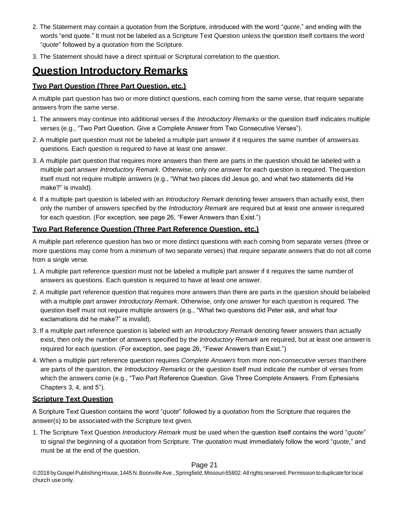- 2. The Statement may contain a *quotation* from the Scripture, introduced with the word "*quote*," and ending with the words "end quote." It must not be labeled as a Scripture Text Question unless the question itself contains the word "*quote*" followed by a *quotation* from the Scripture.
- 3. The Statement should have a direct spiritual or Scriptural correlation to the question.

## <span id="page-20-0"></span>**Question Introductory Remarks**

### <span id="page-20-1"></span>**Two Part Question (Three Part Question, etc.)**

A multiple part question has two or more distinct questions, each coming from the same verse, that require separate answers from the same verse.

- 1. The answers may continue into additional verses if the *Introductory Remarks* or the question itself indicates multiple verses (e.g., "Two Part Question. Give a Complete Answer from Two Consecutive Verses").
- 2. A multiple part question must not be labeled a multiple part answer if it requires the same number of answersas questions. Each question is required to have at least one answer.
- 3. A multiple part question that requires more answers than there are parts in the question should be labeled with a multiple part answer *Introductory Remark*. Otherwise, only one answer for each question is required. Thequestion itself must not require multiple answers (e.g., "What two places did Jesus go, and what two statements did He make?" is invalid).
- 4. If a multiple part question is labeled with an *Introductory Remark* denoting fewer answers than actually exist, then only the number of answers specified by the *Introductory Remark* are required but at least one answer isrequired for each question. (For exception, see page 26, "Fewer Answers than Exist.")

### <span id="page-20-2"></span>**Two Part Reference Question (Three Part Reference Question, etc.)**

A multiple part reference question has two or more distinct questions with each coming from separate verses (three or more questions may come from a minimum of two separate verses) that require separate answers that do not all come from a single verse.

- 1. A multiple part reference question must not be labeled a multiple part answer if it requires the same numberof answers as questions. Each question is required to have at least one answer.
- 2. A multiple part reference question that requires more answers than there are parts in the question should belabeled with a multiple part answer *Introductory Remark*. Otherwise, only one answer for each question is required. The question itself must not require multiple answers (e.g., "What two questions did Peter ask, and what four exclamations did he make?" is invalid).
- 3. If a multiple part reference question is labeled with an *Introductory Remark* denoting fewer answers than actually exist, then only the number of answers specified by the *Introductory Remark* are required, but at least one answeris required for each question. (For exception, see page 26, "Fewer Answers than Exist.")
- 4. When a multiple part reference question requires *Complete Answers* from more non-*consecutive verses* thanthere are parts of the question, the *Introductory Remarks* or the question itself must indicate the number of verses from which the answers come (e.g., "Two Part Reference Question. Give Three Complete Answers. From Ephesians Chapters 3, 4, and 5").

#### <span id="page-20-3"></span>**Scripture Text Question**

A Scripture Text Question contains the word "*quote*" followed by a *quotation* from the Scripture that requires the answer(s) to be associated with the Scripture text given.

1. The Scripture Text Question *Introductory Remark* must be used when the question itself contains the word "*quote*" to signal the beginning of a *quotation* from Scripture. The *quotation* must immediately follow the word "*quote*," and must be at the end of the question.

#### Page 21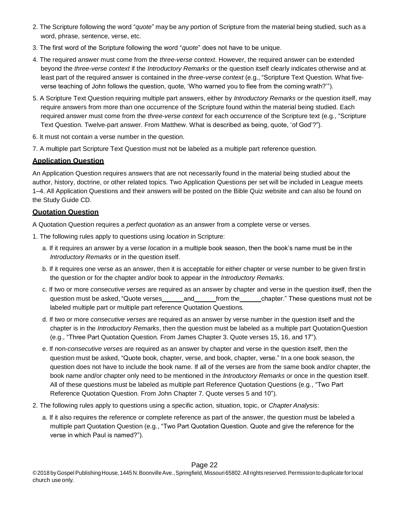- 2. The Scripture following the word "*quote*" maybe any portion of Scripture from the material being studied, such as a word, phrase, sentence, verse, etc.
- 3. The first word of the Scripture following the word "*quote*" does not have to be unique.
- 4. The required answer must come from the *three-verse context*. However, the required answer can be extended beyond the *three-verse context* if the *Introductory Remarks* or the question itself clearly indicates otherwise and at least part of the required answer is contained in the *three-verse context* (e.g., "Scripture Text Question. What fiveverse teaching of John follows the question, quote, 'Who warned you to flee from the coming wrath?'").
- 5. A Scripture Text Question requiring multiple part answers, either by *Introductory Remarks* or the question itself, may require answers from more than one occurrence of the Scripture found within the material being studied. Each required answer must come from the *three-verse context* for each occurrence of the Scripture text (e.g., "Scripture Text Question. Twelve-part answer. From Matthew. What is described as being, quote, 'of God'?").
- 6. It must not contain a verse number in the question.
- 7. A multiple part Scripture Text Question must not be labeled as a multiple part reference question.

### <span id="page-21-0"></span>**Application Question**

An Application Question requires answers that are not necessarily found in the material being studied about the author, history, doctrine, or other related topics. Two Application Questions per set will be included in League meets 1–4. All Application Questions and their answers will be posted on the Bible Quiz website and can also be found on the Study Guide CD.

### <span id="page-21-1"></span>**Quotation Question**

A Quotation Question requires a *perfect quotation* as an answer from a complete verse or verses.

- 1. The following rules apply to questions using *location* in Scripture:
	- a. If it requires an answer by a verse *location* in a multiple book season, then the book's name must be inthe *Introductory Remarks* or in the question itself.
	- b. If it requires one verse as an answer, then it is acceptable for either chapter or verse number to be given firstin the question or for the chapter and/or book to appear in the *Introductory Remarks*.
	- c. If two or more *consecutive verses* are required as an answer by chapter and verse in the question itself, then the question must be asked, "Quote verses and from the chapter." These questions must not be labeled multiple part or multiple part reference Quotation Questions.
	- d. If two or more *consecutive verses* are required as an answer by verse number in the question itself and the chapter is in the *Introductory Remarks*, then the question must be labeled as a multiple part QuotationQuestion (e.g., "Three Part Quotation Question. From James Chapter 3. Quote verses 15, 16, and 17").
	- e. If non-*consecutive verses* are required as an answer by chapter and verse in the question itself, then the question must be asked, "Quote book, chapter, verse, and book, chapter, verse." In a one book season, the question does not have to include the book name. If all of the verses are from the same book and/or chapter, the book name and/or chapter only need to be mentioned in the *Introductory Remarks* or once in the question itself. All of these questions must be labeled as multiple part Reference Quotation Questions (e.g., "Two Part Reference Quotation Question. From John Chapter 7. Quote verses 5 and 10").
- 2. The following rules apply to questions using a specific action, situation, topic, or *Chapter Analysis*:
	- a. If it also requires the reference or complete reference as part of the answer, the question must be labeled a multiple part Quotation Question (e.g., "Two Part Quotation Question. Quote and give the reference for the verse in which Paul is named?").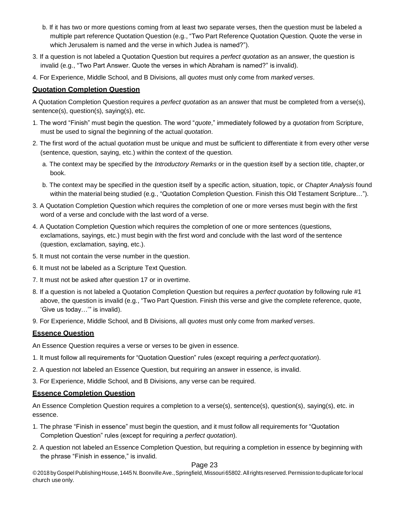- b. If it has two or more questions coming from at least two separate verses, then the question must be labeled a multiple part reference Quotation Question (e.g., "Two Part Reference Quotation Question. Quote the verse in which Jerusalem is named and the verse in which Judea is named?").
- 3. If a question is not labeled a Quotation Question but requires a *perfect quotation* as an answer, the question is invalid (e.g., "Two Part Answer. Quote the verses in which Abraham is named?" is invalid).
- 4. For Experience, Middle School, and B Divisions, all *quotes* must only come from *marked verses*.

#### <span id="page-22-0"></span>**Quotation Completion Question**

A Quotation Completion Question requires a *perfect quotation* as an answer that must be completed from a verse(s), sentence(s), question(s), saying(s), etc.

- 1. The word "Finish" must begin the question. The word "*quote*," immediately followed by a *quotation* from Scripture, must be used to signal the beginning of the actual *quotation*.
- 2. The first word of the actual *quotation* must be unique and must be sufficient to differentiate it from every other verse (sentence, question, saying, etc.) within the context of the question.
	- a. The context may be specified by the *Introductory Remarks* or in the question itself by a section title, chapter,or book.
	- b. The context may be specified in the question itself by a specific action, situation, topic, or *Chapter Analysis* found within the material being studied (e.g., "Quotation Completion Question. Finish this Old Testament Scripture…").
- 3. A Quotation Completion Question which requires the completion of one or more verses must begin with the first word of a verse and conclude with the last word of a verse.
- 4. A Quotation Completion Question which requires the completion of one or more sentences (questions, exclamations, sayings, etc.) must begin with the first word and conclude with the last word of the sentence (question, exclamation, saying, etc.).
- 5. It must not contain the verse number in the question.
- 6. It must not be labeled as a Scripture Text Question.
- 7. It must not be asked after question 17 or in overtime.
- 8. If a question is not labeled a Quotation Completion Question but requires a *perfect quotation* by following rule #1 above, the question is invalid (e.g., "Two Part Question. Finish this verse and give the complete reference, quote, 'Give us today…'" is invalid).
- 9. For Experience, Middle School, and B Divisions, all *quotes* must only come from *marked verses*.

#### <span id="page-22-1"></span>**Essence Question**

An Essence Question requires a verse or verses to be given in essence.

- 1. It must follow all requirements for "Quotation Question" rules (except requiring a *perfectquotation*).
- 2. A question not labeled an Essence Question, but requiring an answer in essence, is invalid.
- 3. For Experience, Middle School, and B Divisions, any verse can be required.

#### <span id="page-22-2"></span>**Essence Completion Question**

An Essence Completion Question requires a completion to a verse(s), sentence(s), question(s), saying(s), etc. in essence.

- 1. The phrase "Finish in essence" must begin the question, and it must follow all requirements for "Quotation Completion Question" rules (except for requiring a *perfect quotation*).
- 2. A question not labeled an Essence Completion Question, but requiring a completion in essence by beginning with the phrase "Finish in essence," is invalid.

#### Page 23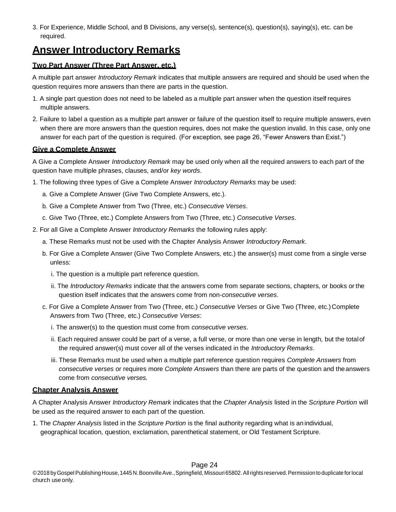3. For Experience, Middle School, and B Divisions, any verse(s), sentence(s), question(s), saying(s), etc. can be required.

### <span id="page-23-0"></span>**Answer Introductory Remarks**

### <span id="page-23-1"></span>**Two Part Answer (Three Part Answer, etc.)**

A multiple part answer *Introductory Remark* indicates that multiple answers are required and should be used when the question requires more answers than there are parts in the question.

- 1. A single part question does not need to be labeled as a multiple part answer when the question itself requires multiple answers.
- 2. Failure to label a question as a multiple part answer or failure of the question itself to require multiple answers,even when there are more answers than the question requires, does not make the question invalid. In this case, only one answer for each part of the question is required. (For exception, see page 26, "Fewer Answers than Exist.")

### <span id="page-23-2"></span>**Give a Complete Answer**

A Give a Complete Answer *Introductory Remark* may be used only when all the required answers to each part of the question have multiple phrases, clauses, and/or *key words*.

- 1. The following three types of Give a Complete Answer *Introductory Remarks* may be used:
	- a. Give a Complete Answer (Give Two Complete Answers, etc.).
	- b. Give a Complete Answer from Two (Three, etc.) *Consecutive Verses*.
	- c. Give Two (Three, etc.) Complete Answers from Two (Three, etc.) *Consecutive Verses*.
- 2. For all Give a Complete Answer *Introductory Remarks* the following rules apply:
	- a. These Remarks must not be used with the Chapter Analysis Answer *Introductory Remark*.
	- b. For Give a Complete Answer (Give Two Complete Answers, etc.) the answer(s) must come from a single verse unless:
		- i. The question is a multiple part reference question.
		- ii. The *Introductory Remarks* indicate that the answers come from separate sections, chapters, or books or the question itself indicates that the answers come from non-*consecutive verses*.
	- c. For Give a Complete Answer from Two (Three, etc.) *Consecutive Verses* or Give Two (Three, etc.) Complete Answers from Two (Three, etc.) *Consecutive Verses*:
		- i. The answer(s) to the question must come from *consecutive verses*.
		- ii. Each required answer could be part of a verse, a full verse, or more than one verse in length, but the totalof the required answer(s) must cover all of the verses indicated in the *Introductory Remarks*.
		- iii. These Remarks must be used when a multiple part reference question requires *Complete Answers* from *consecutive verses* or requires more *Complete Answers* than there are parts of the question and theanswers come from *consecutive verses.*

### <span id="page-23-3"></span>**Chapter Analysis Answer**

A Chapter Analysis Answer *Introductory Remark* indicates that the *Chapter Analysis* listed in the *Scripture Portion* will be used as the required answer to each part of the question.

1. The *Chapter Analysis* listed in the *Scripture Portion* is the final authority regarding what is anindividual, geographical location, question, exclamation, parenthetical statement, or Old Testament Scripture.

### Page 24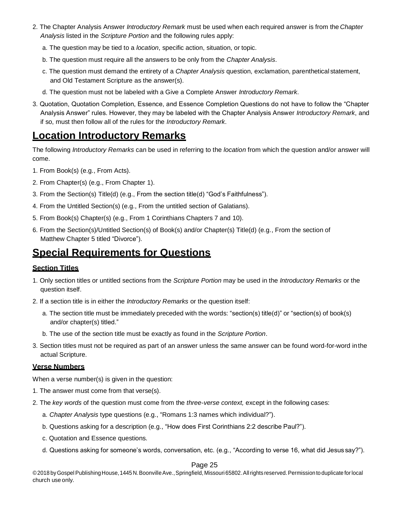- 2. The Chapter Analysis Answer *Introductory Remark* must be used when each required answer is from the *Chapter Analysis* listed in the *Scripture Portion* and the following rules apply:
	- a. The question may be tied to a *location*, specific action, situation, or topic.
	- b. The question must require all the answers to be only from the *Chapter Analysis*.
	- c. The question must demand the entirety of a *Chapter Analysis* question, exclamation, parenthetical statement, and Old Testament Scripture as the answer(s).
	- d. The question must not be labeled with a Give a Complete Answer *Introductory Remark*.
- 3. Quotation, Quotation Completion, Essence, and Essence Completion Questions do not have to follow the "Chapter Analysis Answer" rules. However, they may be labeled with the Chapter Analysis Answer *Introductory Remark*, and if so, must then follow all of the rules for the *Introductory Remark*.

### <span id="page-24-0"></span>**Location Introductory Remarks**

The following *Introductory Remarks* can be used in referring to the *location* from which the question and/or answer will come.

- 1. From Book(s) (e.g., From Acts).
- 2. From Chapter(s) (e.g., From Chapter 1).
- 3. From the Section(s) Title(d) (e.g., From the section title(d) "God's Faithfulness").
- 4. From the Untitled Section(s) (e.g., From the untitled section of Galatians).
- 5. From Book(s) Chapter(s) (e.g., From 1 Corinthians Chapters 7 and 10).
- 6. From the Section(s)/Untitled Section(s) of Book(s) and/or Chapter(s) Title(d) (e.g., From the section of Matthew Chapter 5 titled "Divorce").

### <span id="page-24-1"></span>**Special Requirements for Questions**

### <span id="page-24-2"></span>**Section Titles**

- 1. Only section titles or untitled sections from the *Scripture Portion* may be used in the *Introductory Remarks* or the question itself.
- 2. If a section title is in either the *Introductory Remarks* or the question itself:
	- a. The section title must be immediately preceded with the words: "section(s) title(d)" or "section(s) of book(s) and/or chapter(s) titled."
	- b. The use of the section title must be exactly as found in the *Scripture Portion*.
- 3. Section titles must not be required as part of an answer unless the same answer can be found word-for-word inthe actual Scripture.

### <span id="page-24-3"></span>**Verse Numbers**

When a verse number(s) is given in the question:

- 1. The answer must come from that verse(s).
- 2. The *key words* of the question must come from the *three-verse context,* except in the following cases:
	- a. *Chapter Analysis* type questions (e.g., "Romans 1:3 names which individual?").
	- b. Questions asking for a description (e.g., "How does First Corinthians 2:2 describe Paul?").
	- c. Quotation and Essence questions.
	- d. Questions asking for someone's words, conversation, etc. (e.g., "According to verse 16, what did Jesus say?").

#### Page 25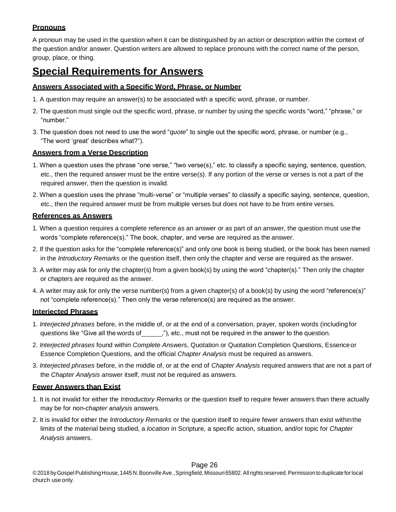### <span id="page-25-0"></span>**Pronouns**

A pronoun may be used in the question when it can be distinguished by an action or description within the context of the question and/or answer. Question writers are allowed to replace pronouns with the correct name of the person, group, place, or thing.

### <span id="page-25-1"></span>**Special Requirements for Answers**

### <span id="page-25-2"></span>**Answers Associated with a Specific Word, Phrase, or Number**

- 1. A question may require an answer(s) to be associated with a specific word, phrase, or number.
- 2. The question must single out the specific word, phrase, or number by using the specific words "word," "phrase," or "number."
- 3. The question does not need to use the word "*quote*" to single out the specific word, phrase, or number (e.g., "The word 'great' describes what?").

### <span id="page-25-3"></span>**Answers from a Verse Description**

- 1. When a question uses the phrase "one verse," "two verse(s)," etc. to classify a specific saying, sentence, question, etc., then the required answer must be the entire verse(s). If any portion of the verse or verses is not a part of the required answer, then the question is invalid.
- 2. When a question uses the phrase "multi-verse" or "multiple verses" to classify a specific saying, sentence, question, etc., then the required answer must be from multiple verses but does not have to be from entire verses.

### <span id="page-25-4"></span>**References as Answers**

- 1. When a question requires a complete reference as an answer or as part of an answer, the question must usethe words "complete reference(s)." The book, chapter, and verse are required as the answer.
- 2. If the question asks for the "complete reference(s)" and only one book is being studied, or the book has been named in the *Introductory Remarks* or the question itself, then only the chapter and verse are required as the answer.
- 3. A writer may ask for only the chapter(s) from a given book(s) by using the word "chapter(s)." Then only the chapter or chapters are required as the answer.
- 4. A writer may ask for only the verse number(s) from a given chapter(s) of a book(s) by using the word "reference(s)" not "complete reference(s)." Then only the verse reference(s) are required as the answer.

### <span id="page-25-5"></span>**Interjected Phrases**

- 1. *Interjected phrases* before, in the middle of, or at the end of a conversation, prayer, spoken words (includingfor questions like "Give all the words of \_\_\_\_\_\_,"), etc., must not be required in the answer to the question.
- 2. *Interjected phrases* found within *Complete Answers*, Quotation or Quotation Completion Questions, Essenceor Essence Completion Questions, and the official *Chapter Analysis* must be required as answers.
- 3. *Interjected phrases* before, in the middle of, or at the end of *Chapter Analysis* required answers that are not a part of the *Chapter Analysis* answer itself, must not be required as answers.

### <span id="page-25-6"></span>**Fewer Answers than Exist**

- 1. It is not invalid for either the *Introductory Remarks* or the question itself to require fewer answers than there actually may be for non-*chapter analysis* answers.
- 2. It is invalid for either the *Introductory Remarks* or the question itself to require fewer answers than exist withinthe limits of the material being studied, a *location* in Scripture, a specific action, situation, and/or topic for *Chapter Analysis* answers.

### Page 26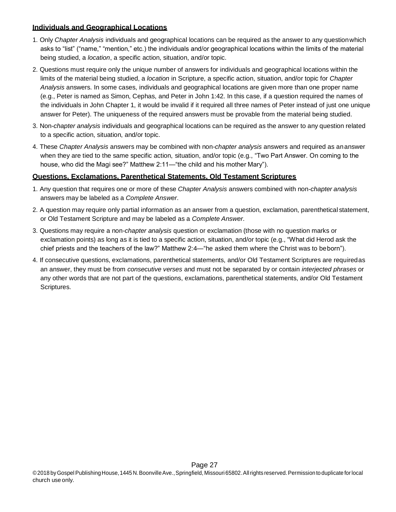### <span id="page-26-0"></span>**Individuals and Geographical Locations**

- 1. Only *Chapter Analysis* individuals and geographical locations can be required as the answer to any questionwhich asks to "list" ("name," "mention," etc.) the individuals and/or geographical locations within the limits of the material being studied, a *location*, a specific action, situation, and/or topic.
- 2. Questions must require only the unique number of answers for individuals and geographical locations within the limits of the material being studied, a *location* in Scripture, a specific action, situation, and/or topic for *Chapter Analysis* answers. In some cases, individuals and geographical locations are given more than one proper name (e.g., Peter is named as Simon, Cephas, and Peter in John 1:42. In this case, if a question required the names of the individuals in John Chapter 1, it would be invalid if it required all three names of Peter instead of just one unique answer for Peter). The uniqueness of the required answers must be provable from the material being studied.
- 3. Non-*chapter analysis* individuals and geographical locations can be required as the answer to any question related to a specific action, situation, and/or topic.
- 4. These *Chapter Analysis* answers may be combined with non-*chapter analysis* answers and required as ananswer when they are tied to the same specific action, situation, and/or topic (e.g., "Two Part Answer. On coming to the house, who did the Magi see?" Matthew 2:11—"the child and his mother Mary").

### <span id="page-26-1"></span>**Questions, Exclamations, Parenthetical Statements, Old Testament Scriptures**

- 1. Any question that requires one or more of these *Chapter Analysis* answers combined with non-*chapter analysis* answers may be labeled as a *Complete Answer*.
- 2. A question may require only partial information as an answer from a question, exclamation, parenthetical statement, or Old Testament Scripture and may be labeled as a *Complete Answer*.
- 3. Questions may require a non-*chapter analysis* question or exclamation (those with no question marks or exclamation points) as long as it is tied to a specific action, situation, and/or topic (e.g., "What did Herod ask the chief priests and the teachers of the law?" Matthew 2:4—"he asked them where the Christ was to beborn").
- 4. If consecutive questions, exclamations, parenthetical statements, and/or Old Testament Scriptures are requiredas an answer, they must be from *consecutive verses* and must not be separated by or contain *interjected phrases* or any other words that are not part of the questions, exclamations, parenthetical statements, and/or Old Testament Scriptures.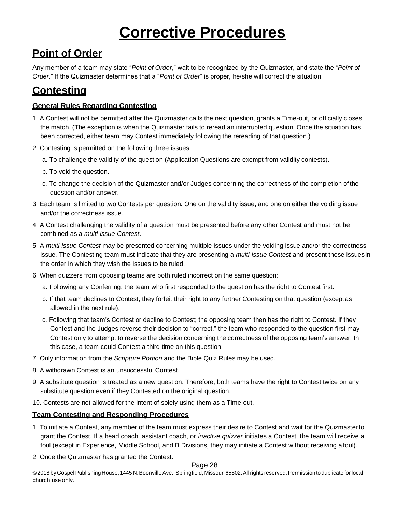# **Corrective Procedures**

# **Point of Order**

<span id="page-27-0"></span>Any member of a team may state "*Point of Order*," wait to be recognized by the Quizmaster, and state the "*Point of Order*." If the Quizmaster determines that a "*Point of Order*" is proper, he/she will correct the situation.

## <span id="page-27-1"></span>**Contesting**

### <span id="page-27-2"></span>**General Rules Regarding Contesting**

- 1. A Contest will not be permitted after the Quizmaster calls the next question, grants a Time-out, or officially closes the match. (The exception is when the Quizmaster fails to reread an interrupted question. Once the situation has been corrected, either team may Contest immediately following the rereading of that question.)
- 2. Contesting is permitted on the following three issues:
	- a. To challenge the validity of the question (Application Questions are exempt from validity contests).
	- b. To void the question.
	- c. To change the decision of the Quizmaster and/or Judges concerning the correctness of the completion ofthe question and/or answer.
- 3. Each team is limited to two Contests per question. One on the validity issue, and one on either the voiding issue and/or the correctness issue.
- 4. A Contest challenging the validity of a question must be presented before any other Contest and must not be combined as a *multi-issue Contest*.
- 5. A *multi-issue Contest* may be presented concerning multiple issues under the voiding issue and/or the correctness issue. The Contesting team must indicate that they are presenting a *multi-issue Contest* and present these issuesin the order in which they wish the issues to be ruled.
- 6. When quizzers from opposing teams are both ruled incorrect on the same question:
	- a. Following any Conferring, the team who first responded to the question has the right to Contest first.
	- b. If that team declines to Contest, they forfeit their right to any further Contesting on that question (exceptas allowed in the next rule).
	- c. Following that team's Contest or decline to Contest; the opposing team then has the right to Contest. If they Contest and the Judges reverse their decision to "correct," the team who responded to the question first may Contest only to attempt to reverse the decision concerning the correctness of the opposing team's answer. In this case, a team could Contest a third time on this question.
- 7. Only information from the *Scripture Portion* and the Bible Quiz Rules may be used.
- 8. A withdrawn Contest is an unsuccessful Contest.
- 9. A substitute question is treated as a new question. Therefore, both teams have the right to Contest twice on any substitute question even if they Contested on the original question.
- 10. Contests are not allowed for the intent of solely using them as a Time-out.

### <span id="page-27-3"></span>**Team Contesting and Responding Procedures**

- 1. To initiate a Contest, any member of the team must express their desire to Contest and wait for the Quizmasterto grant the Contest. If a head coach, assistant coach, or *inactive quizzer* initiates a Contest, the team will receive a foul (except in Experience, Middle School, and B Divisions, they may initiate a Contest without receiving afoul).
- 2. Once the Quizmaster has granted the Contest:

### Page 28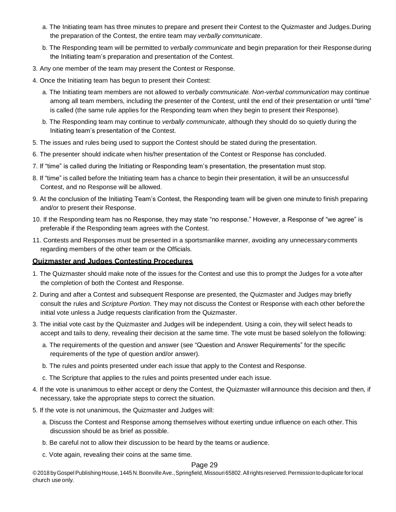- a. The Initiating team has three minutes to prepare and present their Contest to the Quizmaster and Judges.During the preparation of the Contest, the entire team may *verbally communicate*.
- b. The Responding team will be permitted to *verbally communicate* and begin preparation for their Responseduring the Initiating team's preparation and presentation of the Contest.
- 3. Any one member of the team may present the Contest or Response.
- 4. Once the Initiating team has begun to present their Contest:
	- a. The Initiating team members are not allowed to *verbally communicate. Non-verbal communication* may continue among all team members, including the presenter of the Contest, until the end of their presentation or until "time" is called (the same rule applies for the Responding team when they begin to present their Response).
	- b. The Responding team may continue to *verbally communicate*, although they should do so quietly during the Initiating team's presentation of the Contest.
- 5. The issues and rules being used to support the Contest should be stated during the presentation.
- 6. The presenter should indicate when his/her presentation of the Contest or Response has concluded.
- 7. If "time" is called during the Initiating or Responding team's presentation, the presentation must stop.
- 8. If "time" is called before the Initiating team has a chance to begin their presentation, it will be an unsuccessful Contest, and no Response will be allowed.
- 9. At the conclusion of the Initiating Team's Contest, the Responding team will be given one minuteto finish preparing and/or to present their Response.
- 10. If the Responding team has no Response, they may state "no response." However, a Response of "we agree" is preferable if the Responding team agrees with the Contest.
- 11. Contests and Responses must be presented in a sportsmanlike manner, avoiding any unnecessarycomments regarding members of the other team or the Officials.

### <span id="page-28-0"></span>**Quizmaster and Judges Contesting Procedures**

- 1. The Quizmaster should make note of the issues for the Contest and use this to prompt the Judges for a vote after the completion of both the Contest and Response.
- 2. During and after a Contest and subsequent Response are presented, the Quizmaster and Judges may briefly consult the rules and *Scripture Portion*. They may not discuss the Contest or Response with each other beforethe initial vote unless a Judge requests clarification from the Quizmaster.
- 3. The initial vote cast by the Quizmaster and Judges will be independent. Using a coin, they will select heads to accept and tails to deny, revealing their decision at the same time. The vote must be based solelyon the following:
	- a. The requirements of the question and answer (see "Question and Answer Requirements" for the specific requirements of the type of question and/or answer).
	- b. The rules and points presented under each issue that apply to the Contest and Response.
	- c. The Scripture that applies to the rules and points presented under each issue.
- 4. If the vote is unanimous to either accept or deny the Contest, the Quizmaster willannounce this decision and then, if necessary, take the appropriate steps to correct the situation.
- 5. If the vote is not unanimous, the Quizmaster and Judges will:
	- a. Discuss the Contest and Response among themselves without exerting undue influence on each other.This discussion should be as brief as possible.
	- b. Be careful not to allow their discussion to be heard by the teams oraudience.
	- c. Vote again, revealing their coins at the same time.

### Page 29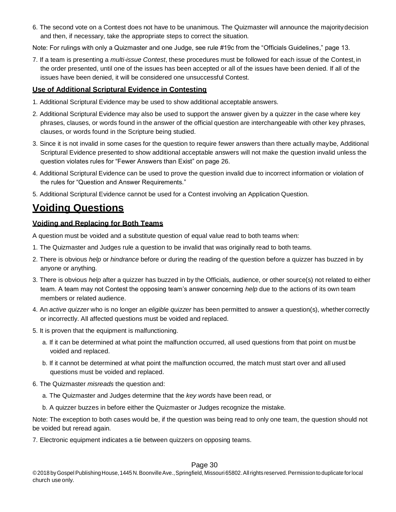6. The second vote on a Contest does not have to be unanimous. The Quizmaster will announce the majoritydecision and then, if necessary, take the appropriate steps to correct the situation.

Note: For rulings with only a Quizmaster and one Judge, see rule #19c from the "Officials Guidelines," page 13.

7. If a team is presenting a *multi-issue Contest*, these procedures must be followed for each issue of the Contest,in the order presented, until one of the issues has been accepted or all of the issues have been denied. If all of the issues have been denied, it will be considered one unsuccessful Contest.

#### <span id="page-29-0"></span>**Use of Additional Scriptural Evidence in Contesting**

- 1. Additional Scriptural Evidence may be used to show additional acceptableanswers.
- 2. Additional Scriptural Evidence may also be used to support the answer given by a quizzer in the case where key phrases, clauses, or words found in the answer of the official question are interchangeable with other key phrases, clauses, or words found in the Scripture being studied.
- 3. Since it is not invalid in some cases for the question to require fewer answers than there actually maybe, Additional Scriptural Evidence presented to show additional acceptable answers will not make the question invalid unless the question violates rules for "Fewer Answers than Exist" on page 26.
- 4. Additional Scriptural Evidence can be used to prove the question invalid due to incorrect information or violation of the rules for "Question and Answer Requirements."
- 5. Additional Scriptural Evidence cannot be used for a Contest involving an Application Question.

### <span id="page-29-1"></span>**Voiding Questions**

#### <span id="page-29-2"></span>**Voiding and Replacing for Both Teams**

A question must be voided and a substitute question of equal value read to both teams when:

- 1. The Quizmaster and Judges rule a question to be invalid that was originally read to both teams.
- 2. There is obvious *help* or *hindrance* before or during the reading of the question before a quizzer has buzzed in by anyone or anything.
- 3. There is obvious *help* after a quizzer has buzzed in by the Officials, audience, or other source(s) not related to either team. A team may not Contest the opposing team's answer concerning *help* due to the actions of its own team members or related audience.
- 4. An *active quizzer* who is no longer an *eligible quizzer* has been permitted to answer a question(s), whether correctly or incorrectly. All affected questions must be voided and replaced.
- 5. It is proven that the equipment is malfunctioning.
	- a. If it can be determined at what point the malfunction occurred, all used questions from that point on mustbe voided and replaced.
	- b. If it cannot be determined at what point the malfunction occurred, the match must start over and allused questions must be voided and replaced.
- 6. The Quizmaster *misreads* the question and:
	- a. The Quizmaster and Judges determine that the *key words* have been read, or
	- b. A quizzer buzzes in before either the Quizmaster or Judges recognize the mistake.

Note: The exception to both cases would be, if the question was being read to only one team, the question should not be voided but reread again.

7. Electronic equipment indicates a tie between quizzers on opposing teams.

#### Page 30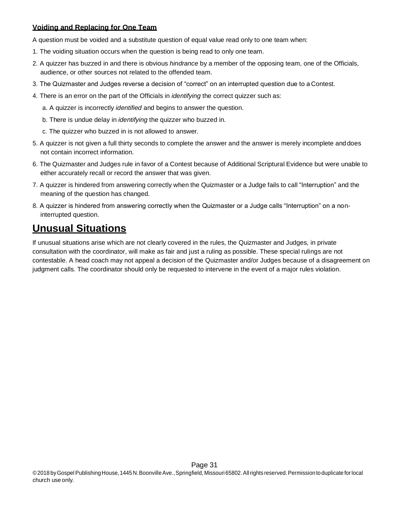### <span id="page-30-0"></span>**Voiding and Replacing for One Team**

A question must be voided and a substitute question of equal value read only to one team when:

- 1. The voiding situation occurs when the question is being read to only one team.
- 2. A quizzer has buzzed in and there is obvious *hindrance* by a member of the opposing team, one of the Officials, audience, or other sources not related to the offended team.
- 3. The Quizmaster and Judges reverse a decision of "correct" on an interrupted question due to a Contest.
- 4. There is an error on the part of the Officials in *identifying* the correct quizzer such as:
	- a. A quizzer is incorrectly *identified* and begins to answer the question.
	- b. There is undue delay in *identifying* the quizzer who buzzed in.
	- c. The quizzer who buzzed in is not allowed to answer.
- 5. A quizzer is not given a full thirty seconds to complete the answer and the answer is merely incomplete anddoes not contain incorrect information.
- 6. The Quizmaster and Judges rule in favor of a Contest because of Additional Scriptural Evidence but were unable to either accurately recall or record the answer that was given.
- 7. A quizzer is hindered from answering correctly when the Quizmaster or a Judge fails to call "Interruption" and the meaning of the question has changed.
- 8. A quizzer is hindered from answering correctly when the Quizmaster or a Judge calls "Interruption" on a noninterrupted question.

### <span id="page-30-1"></span>**Unusual Situations**

If unusual situations arise which are not clearly covered in the rules, the Quizmaster and Judges, in private consultation with the coordinator, will make as fair and just a ruling as possible. These special rulings are not contestable. A head coach may not appeal a decision of the Quizmaster and/or Judges because of a disagreement on judgment calls. The coordinator should only be requested to intervene in the event of a major rules violation.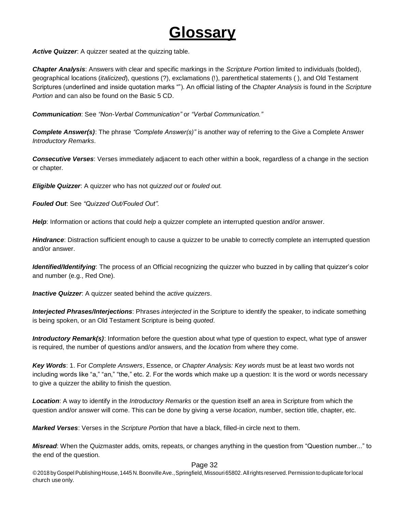# **Glossary**

<span id="page-31-0"></span>*Active Quizzer*: A quizzer seated at the quizzing table.

*Chapter Analysis*: Answers with clear and specific markings in the *Scripture Portion* limited to individuals (bolded), geographical locations (*italicized*), questions (?), exclamations (!), parenthetical statements ( ), and Old Testament Scriptures (underlined and inside quotation marks ""). An official listing of the *Chapter Analysis* is found in the *Scripture Portion* and can also be found on the Basic 5 CD.

*Communication*: See *"Non-Verbal Communication"* or *"Verbal Communication."*

*Complete Answer(s)*: The phrase *"Complete Answer(s)"* is another way of referring to the Give a Complete Answer *Introductory Remarks*.

*Consecutive Verses*: Verses immediately adjacent to each other within a book, regardless of a change in the section or chapter.

*Eligible Quizzer*: A quizzer who has not *quizzed out* or *fouled out.*

*Fouled Out*: See *"Quizzed Out/Fouled Out".*

*Help*: Information or actions that could *help* a quizzer complete an interrupted question and/or answer.

*Hindrance*: Distraction sufficient enough to cause a quizzer to be unable to correctly complete an interrupted question and/or answer.

*Identified/Identifying*: The process of an Official recognizing the quizzer who buzzed in by calling that quizzer's color and number (e.g., Red One).

*Inactive Quizzer*: A quizzer seated behind the *active quizzers*.

*Interjected Phrases/Interjections*: Phrases *interjected* in the Scripture to identify the speaker, to indicate something is being spoken, or an Old Testament Scripture is being *quoted*.

*Introductory Remark(s)*: Information before the question about what type of question to expect, what type of answer is required, the number of questions and/or answers, and the *location* from where they come.

*Key Words*: 1. For *Complete Answers*, Essence, or *Chapter Analysis: Key words* must be at least two words not including words like "a," "an," "the," etc. 2. For the words which make up a question: It is the word or words necessary to give a quizzer the ability to finish the question.

*Location*: A way to identify in the *Introductory Remarks* or the question itself an area in Scripture from which the question and/or answer will come. This can be done by giving a verse *location*, number, section title, chapter, etc.

*Marked Verses*: Verses in the *Scripture Portion* that have a black, filled-in circle next to them.

*Misread*: When the Quizmaster adds, omits, repeats, or changes anything in the question from "Question number..." to the end of the question.

#### Page 32